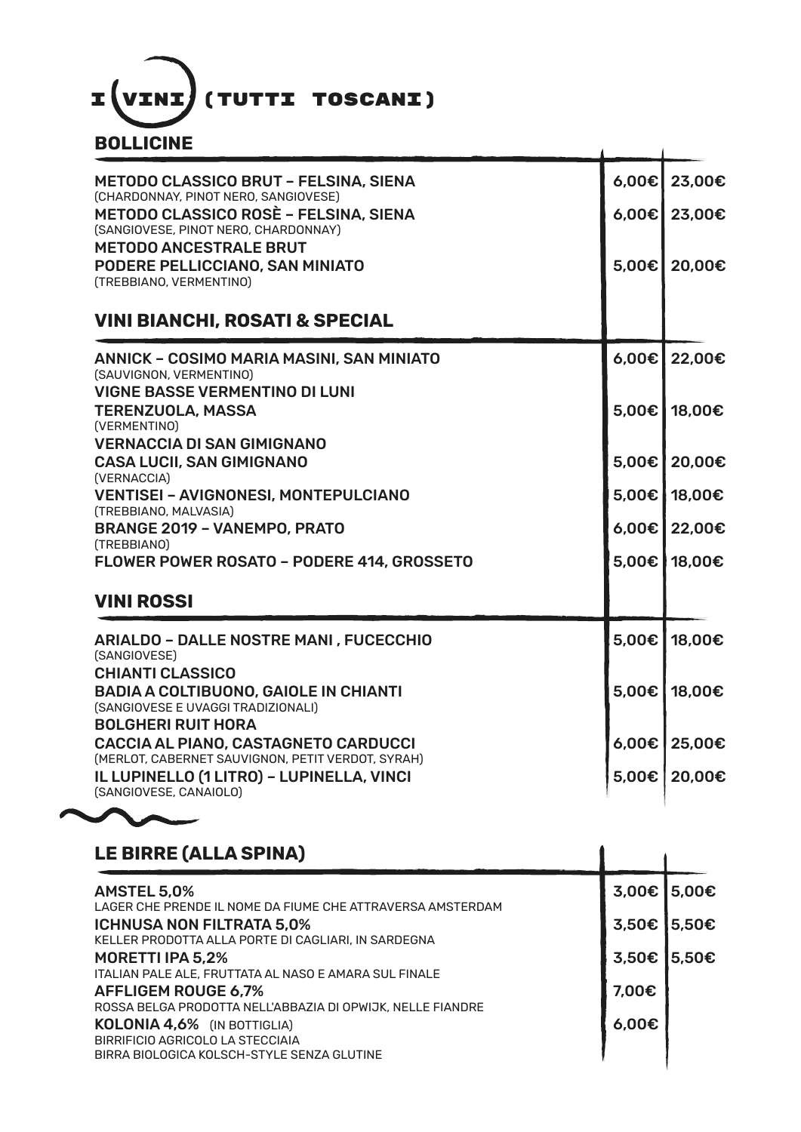

| BOLLICINE                                                                                                              |       |              |
|------------------------------------------------------------------------------------------------------------------------|-------|--------------|
| <b>METODO CLASSICO BRUT - FELSINA, SIENA</b><br>(CHARDONNAY, PINOT NERO, SANGIOVESE)                                   | 6,00€ | 23,00€       |
| <b>METODO CLASSICO ROSÈ - FELSINA, SIENA</b><br>(SANGIOVESE, PINOT NERO, CHARDONNAY)                                   | 6,00€ | 23,00€       |
| <b>METODO ANCESTRALE BRUT</b><br>PODERE PELLICCIANO, SAN MINIATO<br>(TREBBIANO, VERMENTINO)                            | 5,00€ | 20,00€       |
| <b>VINI BIANCHI, ROSATI &amp; SPECIAL</b>                                                                              |       |              |
| <b>ANNICK - COSIMO MARIA MASINI, SAN MINIATO</b><br>(SAUVIGNON, VERMENTINO)                                            | 6,00€ | 22,00€       |
| <b>VIGNE BASSE VERMENTINO DI LUNI</b><br><b>TERENZUOLA, MASSA</b><br>(VERMENTINO)<br><b>VERNACCIA DI SAN GIMIGNANO</b> | 5,00€ | 18,00€       |
| <b>CASA LUCII, SAN GIMIGNANO</b><br>(VERNACCIA)                                                                        | 5,00€ | 20,00€       |
| <b>VENTISEI - AVIGNONESI, MONTEPULCIANO</b><br>(TREBBIANO, MALVASIA)                                                   |       | 5,00€ 18,00€ |
| <b>BRANGE 2019 - VANEMPO, PRATO</b><br>(TREBBIANO)                                                                     | 6,00€ | 22,00€       |
| <b>FLOWER POWER ROSATO - PODERE 414, GROSSETO</b>                                                                      | 5,00€ | 18,00€       |
| <b>VINI ROSSI</b>                                                                                                      |       |              |
| <b>ARIALDO - DALLE NOSTRE MANI, FUCECCHIO</b><br>(SANGIOVESE)                                                          | 5,00€ | 18,00€       |
| <b>CHIANTI CLASSICO</b><br><b>BADIA A COLTIBUONO, GAIOLE IN CHIANTI</b><br>(SANGIOVESE E UVAGGI TRADIZIONALI)          | 5,00€ | 18,00€       |
| <b>BOLGHERI RUIT HORA</b><br>CACCIA AL PIANO, CASTAGNETO CARDUCCI<br>(MERLOT, CABERNET SAUVIGNON, PETIT VERDOT, SYRAH) | 6.00€ | 25,00€       |
| IL LUPINELLO (1 LITRO) - LUPINELLA, VINCI<br>(SANGIOVESE, CANAIOLO)                                                    | 5,00€ | 20,00€       |

## **LE BIRRE (ALLA SPINA)**

| <b>AMSTEL 5,0%</b><br>LAGER CHE PRENDE IL NOME DA FIUME CHE ATTRAVERSA AMSTERDAM<br>3,50E<br><b>ICHNUSA NON FILTRATA 5,0%</b> |             |
|-------------------------------------------------------------------------------------------------------------------------------|-------------|
|                                                                                                                               | 3,00€ 5,00€ |
|                                                                                                                               | 5,50€       |
| KELLER PRODOTTA ALLA PORTE DI CAGLIARI, IN SARDEGNA<br>3,50€<br>MORETTI IPA 5,2%                                              | 5,50€       |
| ITALIAN PALE ALE, FRUTTATA AL NASO E AMARA SUL FINALE<br>7.00€<br><b>AFFLIGEM ROUGE 6,7%</b>                                  |             |
| ROSSA BELGA PRODOTTA NELL'ABBAZIA DI OPWIJK, NELLE FIANDRE<br>6,00€<br><b>KOLONIA 4,6%</b> (IN BOTTIGLIA)                     |             |
| BIRRIFICIO AGRICOLO LA STECCIAIA<br>BIRRA BIOLOGICA KOLSCH-STYLE SENZA GLUTINE                                                |             |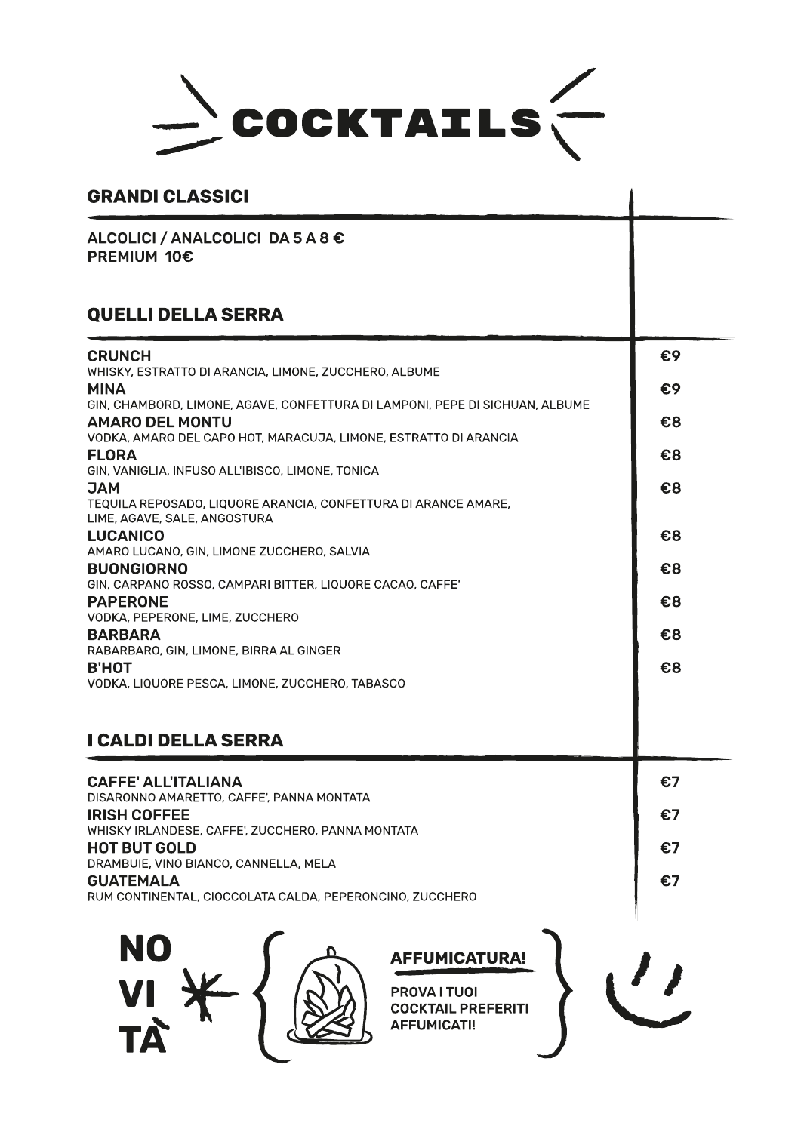

## **GRANDI CLASSICI**

ALCOLICI / ANALCOLICI DA 5 A 8 € **PREMIUM 10€** 

## **QUELLI DELLA SERRA**

| <b>CRUNCH</b>                                                                                          | €9 |
|--------------------------------------------------------------------------------------------------------|----|
| WHISKY, ESTRATTO DI ARANCIA, LIMONE, ZUCCHERO, ALBUME<br><b>MINA</b>                                   | €9 |
| GIN, CHAMBORD, LIMONE, AGAVE, CONFETTURA DI LAMPONI, PEPE DI SICHUAN, ALBUME<br><b>AMARO DEL MONTU</b> | €8 |
| VODKA, AMARO DEL CAPO HOT, MARACUJA, LIMONE, ESTRATTO DI ARANCIA                                       |    |
| <b>FLORA</b><br>GIN, VANIGLIA, INFUSO ALL'IBISCO, LIMONE, TONICA                                       | €8 |
| <b>MAC</b>                                                                                             | €8 |
| TEQUILA REPOSADO, LIQUORE ARANCIA, CONFETTURA DI ARANCE AMARE,<br>LIME, AGAVE, SALE, ANGOSTURA         |    |
| <b>LUCANICO</b>                                                                                        | €8 |
| AMARO LUCANO, GIN, LIMONE ZUCCHERO, SALVIA<br><b>BUONGIORNO</b>                                        | €8 |
| GIN, CARPANO ROSSO, CAMPARI BITTER, LIQUORE CACAO, CAFFE'                                              |    |
| <b>PAPERONE</b><br>VODKA, PEPERONE, LIME, ZUCCHERO                                                     | €8 |
| <b>BARBARA</b><br>RABARBARO, GIN, LIMONE, BIRRA AL GINGER                                              | €8 |
| <b>B'HOT</b>                                                                                           | €8 |
| VODKA, LIQUORE PESCA, LIMONE, ZUCCHERO, TABASCO                                                        |    |
|                                                                                                        |    |
| I CALDI DELLA SERRA                                                                                    |    |
| <b>CAFFE' ALL'ITALIANA</b>                                                                             | €7 |
| DISARONNO AMARETTO, CAFFE', PANNA MONTATA                                                              |    |
| <b>IRISH COFFEE</b><br>WHISKY IRLANDESE, CAFFE', ZUCCHERO, PANNA MONTATA                               | €7 |
| <b>HOT BUT GOLD</b>                                                                                    | €7 |
| DRAMBUIE, VINO BIANCO, CANNELLA, MELA<br><b>GUATEMALA</b>                                              | €7 |
| RUM CONTINENTAL, CIOCCOLATA CALDA, PEPERONCINO, ZUCCHERO                                               |    |
|                                                                                                        |    |
| NO<br><b>AFFUMICATURA!</b>                                                                             |    |
|                                                                                                        |    |
| VI<br>PROVA I TUOI<br><b>COCKTAIL PREFERITI</b>                                                        |    |
| TÀ<br><b>AFFUMICATI!</b>                                                                               |    |
|                                                                                                        |    |